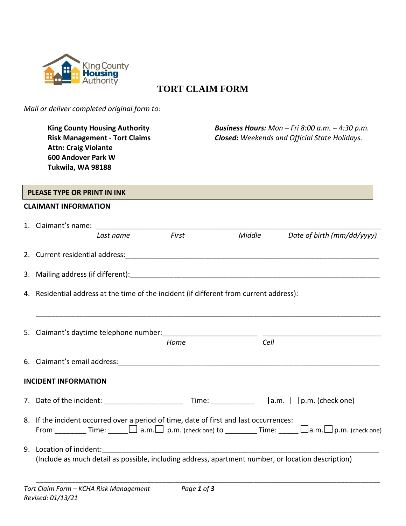

## **TORT CLAIM FORM**

*Mail or deliver completed original form to:*

**King County Housing Authority** *Business Hours: Mon – Fri 8:00 a.m. – 4:30 p.m.* **Risk Management - Tort Claims** *Closed: Weekends and Official State Holidays.* **Attn: Craig Violante 600 Andover Park W Tukwila, WA 98188 CLAIMANT INFORMATION** 1. Claimant's name:  *Last name First Middle Date of birth (mm/dd/yyyy)* 2. Current residential address:\_\_\_\_\_\_\_\_\_\_\_\_\_\_\_\_\_\_\_\_\_\_\_\_\_\_\_\_\_\_\_\_\_\_\_\_\_\_\_\_\_\_\_\_\_\_\_\_\_\_\_\_\_\_\_\_\_\_\_\_\_\_\_\_ 3. Mailing address (if different):  $\blacksquare$ 4. Residential address at the time of the incident (if different from current address): \_\_\_\_\_\_\_\_\_\_\_\_\_\_\_\_\_\_\_\_\_\_\_\_\_\_\_\_\_\_\_\_\_\_\_\_\_\_\_\_\_\_\_\_\_\_\_\_\_\_\_\_\_\_\_\_\_\_\_\_\_\_\_\_\_\_\_\_\_\_\_\_\_\_\_\_\_\_\_\_\_\_\_\_\_\_\_ 5. Claimant's daytime telephone number:  *Home Cell* 6. Claimant's email address: **INCIDENT INFORMATION** 7. Date of the incident: \_\_\_\_\_\_\_\_\_\_\_\_\_\_\_\_\_\_\_\_ Time: \_\_\_\_\_\_\_\_\_\_\_ a.m. p.m. (check one) 8. If the incident occurred over a period of time, date of first and last occurrences: From \_\_\_\_\_\_\_\_ Time:  $\Box$  a.m.  $\Box$  p.m. (check one) to \_\_\_\_\_\_\_ Time:  $\Box$  a.m.  $\Box$  p.m. (check one) 9. Location of incident: (Include as much detail as possible, including address, apartment number, or location description) **PLEASE TYPE OR PRINT IN INK**

\_\_\_\_\_\_\_\_\_\_\_\_\_\_\_\_\_\_\_\_\_\_\_\_\_\_\_\_\_\_\_\_\_\_\_\_\_\_\_\_\_\_\_\_\_\_\_\_\_\_\_\_\_\_\_\_\_\_\_\_\_\_\_\_\_\_\_\_\_\_\_\_\_\_\_\_\_\_\_\_\_\_\_\_\_\_\_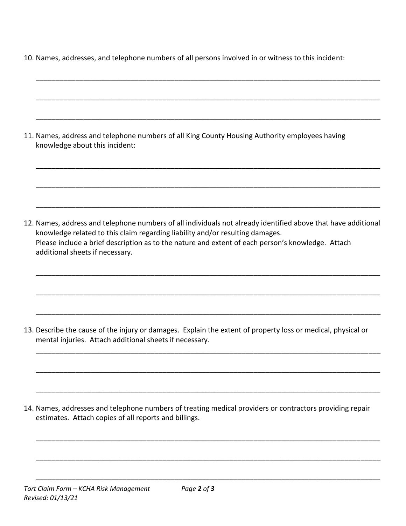|  |  |  |  | 10. Names, addresses, and telephone numbers of all persons involved in or witness to this incident: |
|--|--|--|--|-----------------------------------------------------------------------------------------------------|
|--|--|--|--|-----------------------------------------------------------------------------------------------------|

| 11. Names, address and telephone numbers of all King County Housing Authority employees having<br>knowledge about this incident:                                                                                                                                                                                                       |
|----------------------------------------------------------------------------------------------------------------------------------------------------------------------------------------------------------------------------------------------------------------------------------------------------------------------------------------|
| 12. Names, address and telephone numbers of all individuals not already identified above that have additional<br>knowledge related to this claim regarding liability and/or resulting damages.<br>Please include a brief description as to the nature and extent of each person's knowledge. Attach<br>additional sheets if necessary. |
| 13. Describe the cause of the injury or damages. Explain the extent of property loss or medical, physical or<br>mental injuries. Attach additional sheets if necessary.                                                                                                                                                                |

14. Names, addresses and telephone numbers of treating medical providers or contractors providing repair estimates. Attach copies of all reports and billings.

\_\_\_\_\_\_\_\_\_\_\_\_\_\_\_\_\_\_\_\_\_\_\_\_\_\_\_\_\_\_\_\_\_\_\_\_\_\_\_\_\_\_\_\_\_\_\_\_\_\_\_\_\_\_\_\_\_\_\_\_\_\_\_\_\_\_\_\_\_\_\_\_\_\_\_\_\_\_\_\_\_\_\_\_\_\_\_

\_\_\_\_\_\_\_\_\_\_\_\_\_\_\_\_\_\_\_\_\_\_\_\_\_\_\_\_\_\_\_\_\_\_\_\_\_\_\_\_\_\_\_\_\_\_\_\_\_\_\_\_\_\_\_\_\_\_\_\_\_\_\_\_\_\_\_\_\_\_\_\_\_\_\_\_\_\_\_\_\_\_\_\_\_\_\_

\_\_\_\_\_\_\_\_\_\_\_\_\_\_\_\_\_\_\_\_\_\_\_\_\_\_\_\_\_\_\_\_\_\_\_\_\_\_\_\_\_\_\_\_\_\_\_\_\_\_\_\_\_\_\_\_\_\_\_\_\_\_\_\_\_\_\_\_\_\_\_\_\_\_\_\_\_\_\_\_\_\_\_\_\_\_\_

\_\_\_\_\_\_\_\_\_\_\_\_\_\_\_\_\_\_\_\_\_\_\_\_\_\_\_\_\_\_\_\_\_\_\_\_\_\_\_\_\_\_\_\_\_\_\_\_\_\_\_\_\_\_\_\_\_\_\_\_\_\_\_\_\_\_\_\_\_\_\_\_\_\_\_\_\_\_\_\_\_\_\_\_\_\_\_

\_\_\_\_\_\_\_\_\_\_\_\_\_\_\_\_\_\_\_\_\_\_\_\_\_\_\_\_\_\_\_\_\_\_\_\_\_\_\_\_\_\_\_\_\_\_\_\_\_\_\_\_\_\_\_\_\_\_\_\_\_\_\_\_\_\_\_\_\_\_\_\_\_\_\_\_\_\_\_\_\_\_\_\_\_\_\_